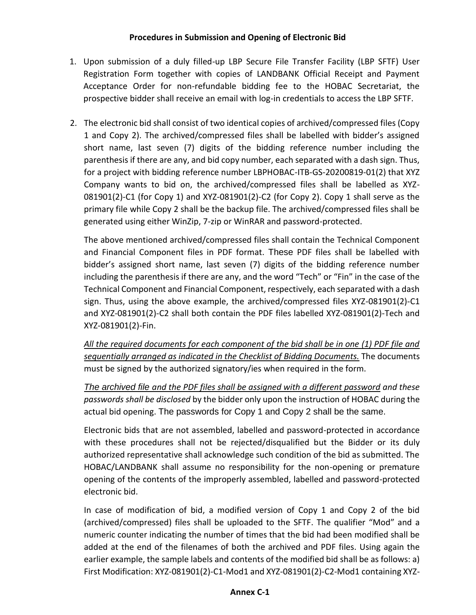- 1. Upon submission of a duly filled-up LBP Secure File Transfer Facility (LBP SFTF) User Registration Form together with copies of LANDBANK Official Receipt and Payment Acceptance Order for non-refundable bidding fee to the HOBAC Secretariat, the prospective bidder shall receive an email with log-in credentials to access the LBP SFTF.
- 2. The electronic bid shall consist of two identical copies of archived/compressed files (Copy 1 and Copy 2). The archived/compressed files shall be labelled with bidder's assigned short name, last seven (7) digits of the bidding reference number including the parenthesis if there are any, and bid copy number, each separated with a dash sign. Thus, for a project with bidding reference number LBPHOBAC-ITB-GS-20200819-01(2) that XYZ Company wants to bid on, the archived/compressed files shall be labelled as XYZ-081901(2)-C1 (for Copy 1) and XYZ-081901(2)-C2 (for Copy 2). Copy 1 shall serve as the primary file while Copy 2 shall be the backup file. The archived/compressed files shall be generated using either WinZip, 7-zip or WinRAR and password-protected.

The above mentioned archived/compressed files shall contain the Technical Component and Financial Component files in PDF format. These PDF files shall be labelled with bidder's assigned short name, last seven (7) digits of the bidding reference number including the parenthesis if there are any, and the word "Tech" or "Fin" in the case of the Technical Component and Financial Component, respectively, each separated with a dash sign. Thus, using the above example, the archived/compressed files XYZ-081901(2)-C1 and XYZ-081901(2)-C2 shall both contain the PDF files labelled XYZ-081901(2)-Tech and XYZ-081901(2)-Fin.

*All the required documents for each component of the bid shall be in one (1) PDF file and sequentially arranged as indicated in the Checklist of Bidding Documents.* The documents must be signed by the authorized signatory/ies when required in the form.

*The archived file and the PDF files shall be assigned with a different password and these passwords shall be disclosed* by the bidder only upon the instruction of HOBAC during the actual bid opening. The passwords for Copy 1 and Copy 2 shall be the same.

Electronic bids that are not assembled, labelled and password-protected in accordance with these procedures shall not be rejected/disqualified but the Bidder or its duly authorized representative shall acknowledge such condition of the bid as submitted. The HOBAC/LANDBANK shall assume no responsibility for the non-opening or premature opening of the contents of the improperly assembled, labelled and password-protected electronic bid.

In case of modification of bid, a modified version of Copy 1 and Copy 2 of the bid (archived/compressed) files shall be uploaded to the SFTF. The qualifier "Mod" and a numeric counter indicating the number of times that the bid had been modified shall be added at the end of the filenames of both the archived and PDF files. Using again the earlier example, the sample labels and contents of the modified bid shall be as follows: a) First Modification: XYZ-081901(2)-C1-Mod1 and XYZ-081901(2)-C2-Mod1 containing XYZ-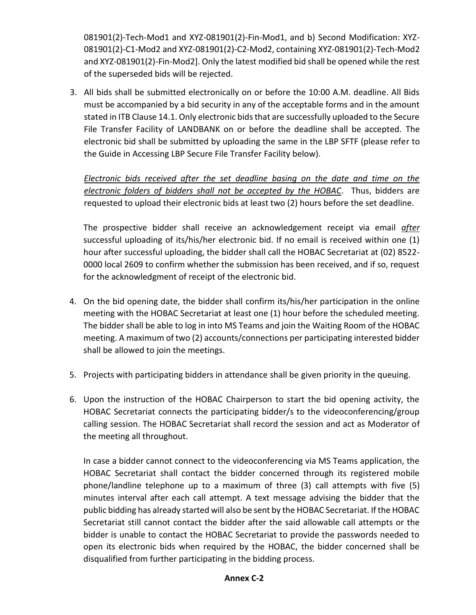081901(2)-Tech-Mod1 and XYZ-081901(2)-Fin-Mod1, and b) Second Modification: XYZ-081901(2)-C1-Mod2 and XYZ-081901(2)-C2-Mod2, containing XYZ-081901(2)-Tech-Mod2 and XYZ-081901(2)-Fin-Mod2]. Only the latest modified bid shall be opened while the rest of the superseded bids will be rejected.

3. All bids shall be submitted electronically on or before the 10:00 A.M. deadline. All Bids must be accompanied by a bid security in any of the acceptable forms and in the amount stated in ITB Clause 14.1. Only electronic bids that are successfully uploaded to the Secure File Transfer Facility of LANDBANK on or before the deadline shall be accepted. The electronic bid shall be submitted by uploading the same in the LBP SFTF (please refer to the Guide in Accessing LBP Secure File Transfer Facility below).

*Electronic bids received after the set deadline basing on the date and time on the electronic folders of bidders shall not be accepted by the HOBAC*. Thus, bidders are requested to upload their electronic bids at least two (2) hours before the set deadline.

The prospective bidder shall receive an acknowledgement receipt via email *after* successful uploading of its/his/her electronic bid. If no email is received within one (1) hour after successful uploading, the bidder shall call the HOBAC Secretariat at (02) 8522- 0000 local 2609 to confirm whether the submission has been received, and if so, request for the acknowledgment of receipt of the electronic bid.

- 4. On the bid opening date, the bidder shall confirm its/his/her participation in the online meeting with the HOBAC Secretariat at least one (1) hour before the scheduled meeting. The bidder shall be able to log in into MS Teams and join the Waiting Room of the HOBAC meeting. A maximum of two (2) accounts/connections per participating interested bidder shall be allowed to join the meetings.
- 5. Projects with participating bidders in attendance shall be given priority in the queuing.
- 6. Upon the instruction of the HOBAC Chairperson to start the bid opening activity, the HOBAC Secretariat connects the participating bidder/s to the videoconferencing/group calling session. The HOBAC Secretariat shall record the session and act as Moderator of the meeting all throughout.

In case a bidder cannot connect to the videoconferencing via MS Teams application, the HOBAC Secretariat shall contact the bidder concerned through its registered mobile phone/landline telephone up to a maximum of three (3) call attempts with five (5) minutes interval after each call attempt. A text message advising the bidder that the public bidding has already started will also be sent by the HOBAC Secretariat. If the HOBAC Secretariat still cannot contact the bidder after the said allowable call attempts or the bidder is unable to contact the HOBAC Secretariat to provide the passwords needed to open its electronic bids when required by the HOBAC, the bidder concerned shall be disqualified from further participating in the bidding process.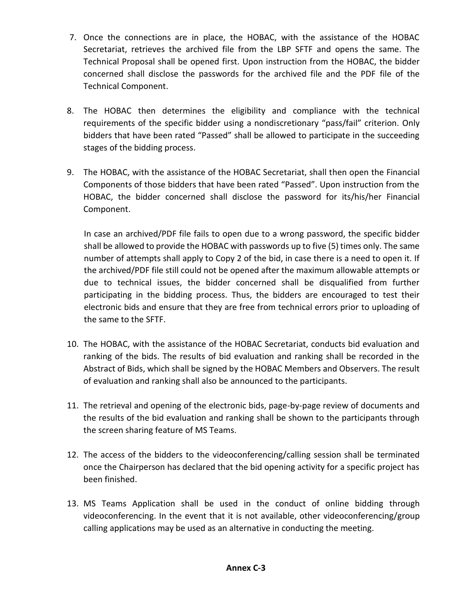- 7. Once the connections are in place, the HOBAC, with the assistance of the HOBAC Secretariat, retrieves the archived file from the LBP SFTF and opens the same. The Technical Proposal shall be opened first. Upon instruction from the HOBAC, the bidder concerned shall disclose the passwords for the archived file and the PDF file of the Technical Component.
- 8. The HOBAC then determines the eligibility and compliance with the technical requirements of the specific bidder using a nondiscretionary "pass/fail" criterion. Only bidders that have been rated "Passed" shall be allowed to participate in the succeeding stages of the bidding process.
- 9. The HOBAC, with the assistance of the HOBAC Secretariat, shall then open the Financial Components of those bidders that have been rated "Passed". Upon instruction from the HOBAC, the bidder concerned shall disclose the password for its/his/her Financial Component.

In case an archived/PDF file fails to open due to a wrong password, the specific bidder shall be allowed to provide the HOBAC with passwords up to five (5) times only. The same number of attempts shall apply to Copy 2 of the bid, in case there is a need to open it. If the archived/PDF file still could not be opened after the maximum allowable attempts or due to technical issues, the bidder concerned shall be disqualified from further participating in the bidding process. Thus, the bidders are encouraged to test their electronic bids and ensure that they are free from technical errors prior to uploading of the same to the SFTF.

- 10. The HOBAC, with the assistance of the HOBAC Secretariat, conducts bid evaluation and ranking of the bids. The results of bid evaluation and ranking shall be recorded in the Abstract of Bids, which shall be signed by the HOBAC Members and Observers. The result of evaluation and ranking shall also be announced to the participants.
- 11. The retrieval and opening of the electronic bids, page-by-page review of documents and the results of the bid evaluation and ranking shall be shown to the participants through the screen sharing feature of MS Teams.
- 12. The access of the bidders to the videoconferencing/calling session shall be terminated once the Chairperson has declared that the bid opening activity for a specific project has been finished.
- 13. MS Teams Application shall be used in the conduct of online bidding through videoconferencing. In the event that it is not available, other videoconferencing/group calling applications may be used as an alternative in conducting the meeting.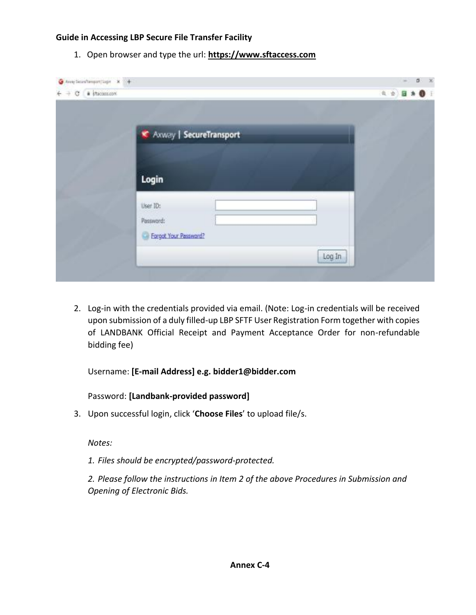## **Guide in Accessing LBP Secure File Transfer Facility**

1. Open browser and type the url: **[https://www.sftaccess.com](https://www.sftaccess.com/)**

| $\bullet$ Amy Secretary<br>portinger $x +$                |                                                | $0 - x$<br>$\sim$ |
|-----------------------------------------------------------|------------------------------------------------|-------------------|
| $\leftarrow$ $\Rightarrow$ $\circ$ $\bullet$ its control. |                                                | 4 位 图 本 卷         |
|                                                           |                                                |                   |
|                                                           | <b>K</b> Axway   SecureTransport               |                   |
|                                                           | Login                                          |                   |
|                                                           | User ID:<br>Password:<br>Forgot Your Password? |                   |
|                                                           | Log In                                         |                   |

2. Log-in with the credentials provided via email. (Note: Log-in credentials will be received upon submission of a duly filled-up LBP SFTF User Registration Form together with copies of LANDBANK Official Receipt and Payment Acceptance Order for non-refundable bidding fee)

Username: **[E-mail Address] e.g. bidder1@bidder.com**

Password: **[Landbank-provided password]**

3. Upon successful login, click '**Choose Files**' to upload file/s.

*Notes:*

*1. Files should be encrypted/password-protected.*

*2. Please follow the instructions in Item 2 of the above Procedures in Submission and Opening of Electronic Bids.*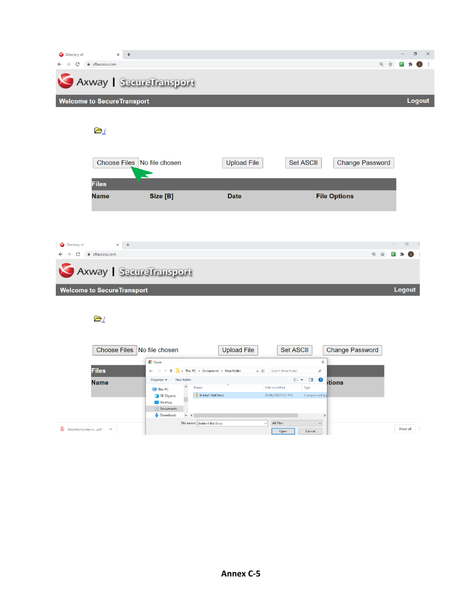| Directory of | $\times$ +                                    |                                                                                                                                           |                    |                                       |                                | σ<br>$\times$     |
|--------------|-----------------------------------------------|-------------------------------------------------------------------------------------------------------------------------------------------|--------------------|---------------------------------------|--------------------------------|-------------------|
|              | $\rightarrow$ C $\acute{e}$ sftaccess.com     |                                                                                                                                           |                    |                                       | @ ☆                            | - 同一井<br>O<br>- : |
|              | Axway   SecureTransport                       |                                                                                                                                           |                    |                                       |                                |                   |
|              | <b>Welcome to SecureTransport</b>             |                                                                                                                                           |                    |                                       |                                | Logout            |
|              |                                               |                                                                                                                                           |                    |                                       |                                |                   |
|              | $\geq$ /                                      |                                                                                                                                           |                    |                                       |                                |                   |
|              |                                               |                                                                                                                                           |                    |                                       |                                |                   |
|              | Choose Files No file chosen                   |                                                                                                                                           | <b>Upload File</b> | Set ASCII                             | <b>Change Password</b>         |                   |
|              |                                               |                                                                                                                                           |                    |                                       |                                |                   |
|              | <b>Files</b>                                  |                                                                                                                                           |                    |                                       |                                |                   |
|              | <b>Name</b>                                   | Size [B]                                                                                                                                  | <b>Date</b>        |                                       | <b>File Options</b>            |                   |
|              |                                               |                                                                                                                                           |                    |                                       |                                |                   |
|              |                                               |                                                                                                                                           |                    |                                       |                                |                   |
|              |                                               |                                                                                                                                           |                    |                                       |                                |                   |
| Directory of | $\times$ +                                    |                                                                                                                                           |                    |                                       |                                | 団                 |
| $\leftarrow$ | $\rightarrow$ C' $\blacksquare$ sftaccess.com |                                                                                                                                           |                    |                                       | @ ☆<br>$\overline{\mathbf{D}}$ | 一海                |
|              | Axway   SecureTransport                       |                                                                                                                                           |                    |                                       |                                |                   |
|              | <b>Welcome to SecureTransport</b>             |                                                                                                                                           |                    |                                       |                                | <b>Logout</b>     |
|              |                                               |                                                                                                                                           |                    |                                       |                                |                   |
|              | DΙ                                            |                                                                                                                                           |                    |                                       |                                |                   |
|              |                                               |                                                                                                                                           |                    |                                       |                                |                   |
|              |                                               |                                                                                                                                           |                    |                                       |                                |                   |
|              | Choose Files No file chosen                   |                                                                                                                                           | <b>Upload File</b> | <b>Set ASCII</b>                      | <b>Change Password</b>         |                   |
|              |                                               | $\bullet$ Open                                                                                                                            |                    | $\times$                              |                                |                   |
|              | <b>Files</b>                                  | $\leftarrow$ $\rightarrow$ $\rightsquigarrow$ $\uparrow$ $\uparrow$ $\rightarrow$ This PC $\rightarrow$ Documents $\rightarrow$ Newfolder | $\sim$ 0           | Search New folder<br>$\varphi$        |                                |                   |
|              | <b>Name</b>                                   | Organize $\blacktriangledown$<br>New folder<br>Name                                                                                       | Date modified      | $\mathbb{H}$ - $\Box$<br>0<br>Type    | <i>itions</i>                  |                   |
|              |                                               | This PC<br><b>Bidder1 Bid Docs</b><br>3D Objects                                                                                          |                    | 25/06/2020 5:51 PM<br>Compressed (zip |                                |                   |
|              |                                               | Desktop<br>Documents                                                                                                                      |                    |                                       |                                |                   |
|              |                                               | Downloads<br>$\vee$ $\leq$                                                                                                                |                    | $\,$                                  |                                |                   |

 $\begin{array}{|c|c|c|c|}\hline \textbf{A} & \text{Industry-Survey-o...pdf} & \textit{~~\frown$} & \\\hline \end{array}$ 

File name: Bidder1 Bid Docs

 $Show all$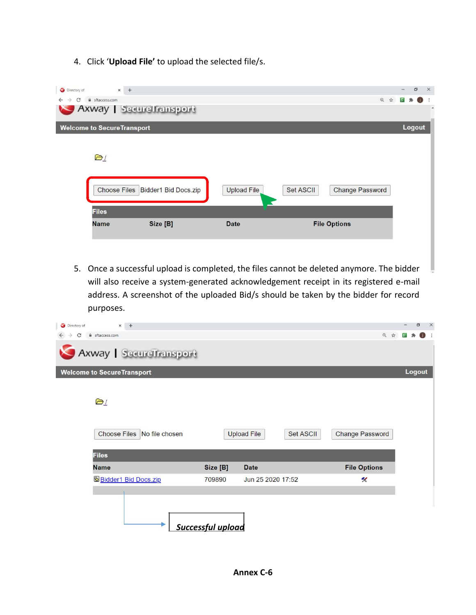4. Click '**Upload File'** to upload the selected file/s.

| Directory of<br>$x +$                               |                                   |                    |                              |               |    | $\Box$     | $\times$ |
|-----------------------------------------------------|-----------------------------------|--------------------|------------------------------|---------------|----|------------|----------|
| C<br>sftaccess.com<br>$\rightarrow$<br>$\leftarrow$ |                                   |                    | $\mathfrak{A}$               | $\frac{1}{M}$ | 回身 | $\bigcirc$ |          |
|                                                     | Axway SecureTransport             |                    |                              |               |    |            | ٠        |
| <b>Welcome to SecureTransport</b>                   |                                   |                    |                              |               |    | Logout     |          |
| $\mathbf{a}_1$<br><b>Files</b>                      | Choose Files Bidder1 Bid Docs.zip | <b>Upload File</b> | Set ASCII<br>Change Password |               |    |            |          |
|                                                     |                                   |                    |                              |               |    |            |          |
| <b>Name</b>                                         | Size [B]                          | <b>Date</b>        | <b>File Options</b>          |               |    |            |          |

5. Once a successful upload is completed, the files cannot be deleted anymore. The bidder will also receive a system-generated acknowledgement receipt in its registered e-mail address. A screenshot of the uploaded Bid/s should be taken by the bidder for record purposes.

| $x +$<br>Directory of             |                          |                                 |                         | σ<br>$\times$ |
|-----------------------------------|--------------------------|---------------------------------|-------------------------|---------------|
| filing sftaccess.com<br>C         |                          |                                 | Q<br>$\mathbf{\hat{w}}$ |               |
| Axway   SecureTransport           |                          |                                 |                         |               |
| <b>Welcome to SecureTransport</b> |                          |                                 |                         | Logout        |
| D1<br>Choose Files No file chosen |                          | <b>Upload File</b><br>Set ASCII | Change Password         |               |
| <b>Files</b>                      |                          |                                 |                         |               |
| <b>Name</b>                       | Size [B]                 | <b>Date</b>                     | <b>File Options</b>     |               |
| <b>Bidder1 Bid Docs.zip</b>       | 709890                   | Jun 25 2020 17:52               | K                       |               |
|                                   | <b>Successful upload</b> |                                 |                         |               |